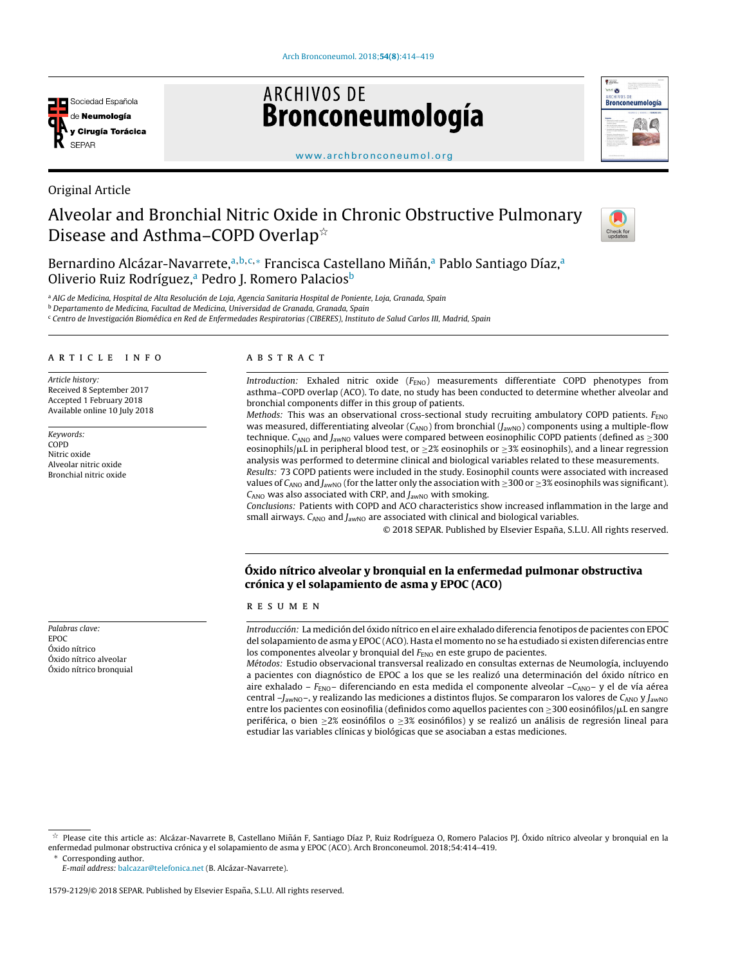

Original Article

# **ARCHIVOS DE** Bronconeumología



[www.archbronconeumol.org](http://www.archbronconeumol.org)

# Alveolar and Bronchial Nitric Oxide in Chronic Obstructive Pulmonary Disease and Asthma–COPD Overlap $^{\star}$



Bernardino Alcázar-Navarrete,ª<sup>,b,c,</sup>\* Francisca Castellano Miñán,ª Pablo Santiago Díaz,ª Oliverio Ruiz Rodríguez,<sup>a</sup> Pedro J. Romero Palacios<sup>b</sup>

a AIG de Medicina, Hospital de Alta Resolución de Loja, Agencia Sanitaria Hospital de Poniente, Loja, Granada, Spain

<sup>b</sup> Departamento de Medicina, Facultad de Medicina, Universidad de Granada, Granada, Spain

<sup>c</sup> Centro de Investigación Biomédica en Red de Enfermedades Respiratorias (CIBERES), Instituto de Salud Carlos III, Madrid, Spain

## a r t i c l e i n f o

Article history: Received 8 September 2017 Accepted 1 February 2018 Available online 10 July 2018

Keywords: COPD Nitric oxide Alveolar nitric oxide Bronchial nitric oxide

Palabras clave: EPOC Óxido nítrico Óxido nítrico alveolar Óxido nítrico bronquial

## A B S T R A C T

Introduction: Exhaled nitric oxide  $(F_{END})$  measurements differentiate COPD phenotypes from asthma–COPD overlap (ACO). To date, no study has been conducted to determine whether alveolar and bronchial components differ in this group of patients.

Methods: This was an observational cross-sectional study recruiting ambulatory COPD patients.  $F_{\text{ENO}}$ was measured, differentiating alveolar ( $C_{ANO}$ ) from bronchial (J<sub>awNO</sub>) components using a multiple-flow technique.  $C_{\text{ANO}}$  and  $J_{\text{awNO}}$  values were compared between eosinophilic COPD patients (defined as  $\geq 300$ eosinophils/ $\mu$ L in peripheral blood test, or  $\geq$ 2% eosinophils or  $\geq$ 3% eosinophils), and a linear regression analysis was performed to determine clinical and biological variables related to these measurements.

Results: 73 COPD patients were included in the study. Eosinophil counts were associated with increased values of C<sub>ANO</sub> and J<sub>awNO</sub> (for the latter only the association with  $\geq$ 300 or  $\geq$ 3% eosinophils was significant).  $C_{\text{ANO}}$  was also associated with CRP, and  $J_{\text{awNO}}$  with smoking.

Conclusions: Patients with COPD and ACO characteristics show increased inflammation in the large and small airways.  $C_{ANO}$  and  $J_{awNO}$  are associated with clinical and biological variables.

© 2018 SEPAR. Published by Elsevier España, S.L.U. All rights reserved.

## Óxido nítrico alveolar y bronquial en la enfermedad pulmonar obstructiva crónica y el solapamiento de asma y EPOC (ACO)

#### r e s u m e n

Introducción: La medición del óxido nítrico en el aire exhalado diferencia fenotipos de pacientes con EPOC del solapamiento de asma y EPOC (ACO). Hasta el momento no se ha estudiado si existen diferencias entre los componentes alveolar y bronquial del  $F_{END}$  en este grupo de pacientes.

Métodos: Estudio observacional transversal realizado en consultas externas de Neumología, incluyendo a pacientes con diagnóstico de EPOC a los que se les realizó una determinación del óxido nítrico en aire exhalado –  $F_{END}$ – diferenciando en esta medida el componente alveolar – $C_{AND}$ – y el de vía aérea central  $-J_{\text{awNO}}$ –, y realizando las mediciones a distintos flujos. Se compararon los valores de C<sub>ANO</sub> y J<sub>awNO</sub> entre los pacientes con eosinofilia (definidos como aquellos pacientes con  $\geq$ 300 eosinófilos/ $\mu$ L en sangre periférica, o bien ≥2% eosinófilos o ≥3% eosinófilos) y se realizó un análisis de regresión lineal para estudiar las variables clínicas y biológicas que se asociaban a estas mediciones.

 $\frac{1}{24}$ Please cite this article as: Alcázar-Navarrete B, Castellano Miñán F, Santiago Díaz P, Ruiz Rodrígueza O, Romero Palacios PJ. Óxido nítrico alveolar y bronquial en la enfermedad pulmonar obstructiva crónica y el solapamiento de asma y EPOC (ACO). Arch Bronconeumol. 2018;54:414–419.

Corresponding author.

E-mail address: [balcazar@telefonica.net](mailto:balcazar@telefonica.net) (B. Alcázar-Navarrete).

<sup>1579-2129/© 2018</sup> SEPAR. Published by Elsevier España, S.L.U. All rights reserved.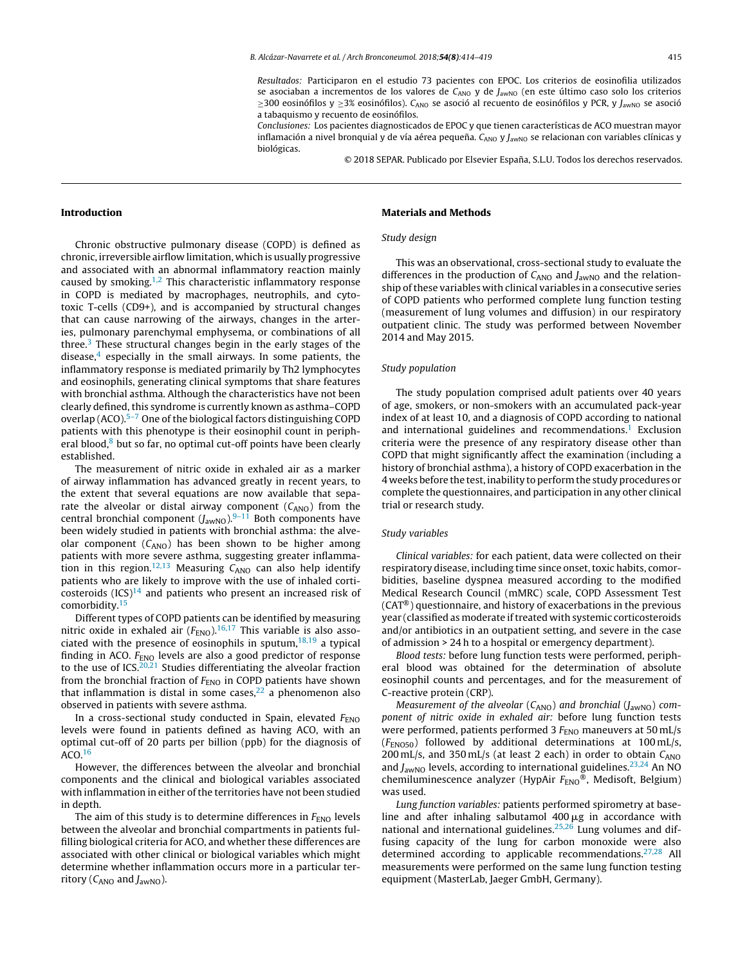Resultados: Participaron en el estudio 73 pacientes con EPOC. Los criterios de eosinofilia utilizados se asociaban a incrementos de los valores de  $C_{ANO}$  y de  $J_{awNO}$  (en este último caso solo los criterios  $≥$ 300 eosinófilos y  $≥$ 3% eosinófilos). C<sub>ANO</sub> se asoció al recuento de eosinófilos y PCR, y J<sub>awNO</sub> se asoció a tabaquismo y recuento de eosinófilos.

Conclusiones: Los pacientes diagnosticados de EPOC y que tienen características de ACO muestran mayor inflamación a nivel bronquial y de vía aérea pequeña.  $C_{\text{ANO}}$  y  $J_{\text{awNO}}$  se relacionan con variables clínicas y biológicas.

© 2018 SEPAR. Publicado por Elsevier España, S.L.U. Todos los derechos reservados.

#### Introduction

Chronic obstructive pulmonary disease (COPD) is defined as chronic, irreversible airflow limitation, which is usually progressive and associated with an abnormal inflammatory reaction mainly caused by smoking. $1,2$  This characteristic inflammatory response in COPD is mediated by macrophages, neutrophils, and cytotoxic T-cells (CD9+), and is accompanied by structural changes that can cause narrowing of the airways, changes in the arteries, pulmonary parenchymal emphysema, or combinations of all three. $3$  These structural changes begin in the early stages of the disease, $4$  especially in the small airways. In some patients, the inflammatory response is mediated primarily by Th2 lymphocytes and eosinophils, generating clinical symptoms that share features with bronchial asthma. Although the characteristics have not been clearly defined, this syndrome is currently known as asthma–COPD overlap (ACO).[5–7](#page-4-0) One of the biological factors distinguishing COPD patients with this phenotype is their eosinophil count in peripheral blood, $8$  but so far, no optimal cut-off points have been clearly established.

The measurement of nitric oxide in exhaled air as a marker of airway inflammation has advanced greatly in recent years, to the extent that several equations are now available that separate the alveolar or distal airway component  $(C_{ANO})$  from the central bronchial component  $(J_{\text{awNO}})^{9-11}$  Both components have been widely studied in patients with bronchial asthma: the alveolar component  $(C_{ANO})$  has been shown to be higher among patients with more severe asthma, suggesting greater inflamma-tion in this region.<sup>[12,13](#page-5-0)</sup> Measuring  $C_{ANO}$  can also help identify patients who are likely to improve with the use of inhaled corticosteroids  $(ICS)^{14}$  $(ICS)^{14}$  $(ICS)^{14}$  and patients who present an increased risk of comorbidity.[15](#page-5-0)

Different types of COPD patients can be identified by measuring nitric oxide in exhaled air  $(F_{END})$ ,  $^{16,17}$  $^{16,17}$  $^{16,17}$  This variable is also associated with the presence of eosinophils in sputum, $18,19$  a typical finding in ACO.  $F_{ENO}$  levels are also a good predictor of response to the use of  $ICS<sub>.20,21</sub>$  $ICS<sub>.20,21</sub>$  $ICS<sub>.20,21</sub>$  Studies differentiating the alveolar fraction from the bronchial fraction of  $F_{END}$  in COPD patients have shown that inflammation is distal in some cases, $22$  a phenomenon also observed in patients with severe asthma.

In a cross-sectional study conducted in Spain, elevated  $F_{\text{ENO}}$ levels were found in patients defined as having ACO, with an optimal cut-off of 20 parts per billion (ppb) for the diagnosis of  $ACO.<sup>16</sup>$  $ACO.<sup>16</sup>$  $ACO.<sup>16</sup>$ 

However, the differences between the alveolar and bronchial components and the clinical and biological variables associated with inflammation in either of the territories have not been studied in depth.

The aim of this study is to determine differences in  $F_{END}$  levels between the alveolar and bronchial compartments in patients fulfilling biological criteria for ACO, and whether these differences are associated with other clinical or biological variables which might determine whether inflammation occurs more in a particular territory ( $C_{\text{ANO}}$  and  $J_{\text{awNO}}$ ).

#### Materials and Methods

#### Study design

This was an observational, cross-sectional study to evaluate the differences in the production of  $C_{\text{ANO}}$  and  $J_{\text{awNO}}$  and the relationship of these variables with clinical variables in a consecutive series of COPD patients who performed complete lung function testing (measurement of lung volumes and diffusion) in our respiratory outpatient clinic. The study was performed between November 2014 and May 2015.

#### Study population

The study population comprised adult patients over 40 years of age, smokers, or non-smokers with an accumulated pack-year index of at least 10, and a diagnosis of COPD according to national and international guidelines and recommendations.<sup>[1](#page-4-0)</sup> Exclusion criteria were the presence of any respiratory disease other than COPD that might significantly affect the examination (including a history of bronchial asthma), a history of COPD exacerbation in the 4 weeks before the test, inability to perform the study procedures or complete the questionnaires, and participation in any other clinical trial or research study.

### Study variables

Clinical variables: for each patient, data were collected on their respiratory disease, including time since onset, toxic habits, comorbidities, baseline dyspnea measured according to the modified Medical Research Council (mMRC) scale, COPD Assessment Test (CAT®) questionnaire, and history of exacerbations in the previous year (classified as moderate if treated with systemic corticosteroids and/or antibiotics in an outpatient setting, and severe in the case of admission > 24 h to a hospital or emergency department).

Blood tests: before lung function tests were performed, peripheral blood was obtained for the determination of absolute eosinophil counts and percentages, and for the measurement of C-reactive protein (CRP).

Measurement of the alveolar ( $C_{ANO}$ ) and bronchial ( $J_{aWNO}$ ) component of nitric oxide in exhaled air: before lung function tests were performed, patients performed 3  $F_{\text{ENO}}$  maneuvers at 50 mL/s  $(F_{ENOS0})$  followed by additional determinations at 100 mL/s, 200 mL/s, and 350 mL/s (at least 2 each) in order to obtain  $C_{ANO}$ and  $J_{\text{awNO}}$  levels, according to international guidelines.<sup>[23,24](#page-5-0)</sup> An NO chemiluminescence analyzer (HypAir  $F_{END}$ ®, Medisoft, Belgium) was used.

Lung function variables: patients performed spirometry at baseline and after inhaling salbutamol  $400 \mu$ g in accordance with national and international guidelines.[25,26](#page-5-0) Lung volumes and diffusing capacity of the lung for carbon monoxide were also determined according to applicable recommendations.<sup>[27,28](#page-5-0)</sup> All measurements were performed on the same lung function testing equipment (MasterLab, Jaeger GmbH, Germany).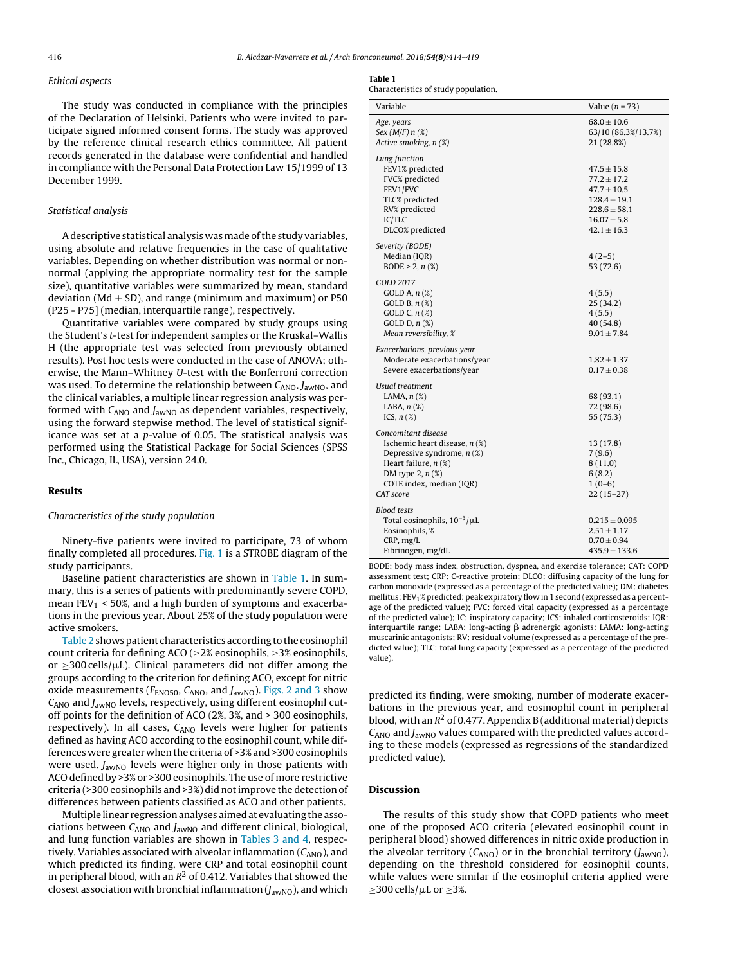#### Ethical aspects

The study was conducted in compliance with the principles of the Declaration of Helsinki. Patients who were invited to participate signed informed consent forms. The study was approved by the reference clinical research ethics committee. All patient records generated in the database were confidential and handled in compliance with the Personal Data Protection Law 15/1999 of 13 December 1999.

#### Statistical analysis

Adescriptive statistical analysis wasmade ofthe study variables, using absolute and relative frequencies in the case of qualitative variables. Depending on whether distribution was normal or nonnormal (applying the appropriate normality test for the sample size), quantitative variables were summarized by mean, standard deviation (Md  $\pm$  SD), and range (minimum and maximum) or P50 (P25 - P75] (median, interquartile range), respectively.

Quantitative variables were compared by study groups using the Student's t-test for independent samples or the Kruskal–Wallis H (the appropriate test was selected from previously obtained results). Post hoc tests were conducted in the case of ANOVA; otherwise, the Mann–Whitney U-test with the Bonferroni correction was used. To determine the relationship between  $C_{ANO}$ ,  $J_{aWNO}$ , and the clinical variables, a multiple linear regression analysis was performed with  $C_{ANO}$  and  $J_{awNO}$  as dependent variables, respectively, using the forward stepwise method. The level of statistical significance was set at a p-value of 0.05. The statistical analysis was performed using the Statistical Package for Social Sciences (SPSS Inc., Chicago, IL, USA), version 24.0.

### Results

#### Characteristics of the study population

Ninety-five patients were invited to participate, 73 of whom finally completed all procedures. [Fig.](#page-3-0) 1 is a STROBE diagram of the study participants.

Baseline patient characteristics are shown in Table 1. In summary, this is a series of patients with predominantly severe COPD, mean  $FEV_1$  < 50%, and a high burden of symptoms and exacerbations in the previous year. About 25% of the study population were active smokers.

[Table](#page-3-0) 2 shows patient characteristics according to the eosinophil count criteria for defining ACO (≥2% eosinophils, ≥3% eosinophils, or  $\geq$ 300 cells/ $\mu$ L). Clinical parameters did not differ among the groups according to the criterion for defining ACO, except for nitric oxide measurements ( $F_{ENO50}$ ,  $C_{ANO}$ , and  $J_{aWNO}$ ). [Figs.](#page-3-0) 2 and 3 show  $C_{\text{ANO}}$  and  $J_{\text{awNO}}$  levels, respectively, using different eosinophil cutoff points for the definition of ACO (2%, 3%, and > 300 eosinophils, respectively). In all cases,  $C_{ANO}$  levels were higher for patients defined as having ACO according to the eosinophil count, while differences were greater when the criteria of >3%and >300 eosinophils were used.  $J_{\text{awNO}}$  levels were higher only in those patients with ACO defined by >3% or >300 eosinophils. The use of more restrictive criteria (>300 eosinophils and >3%) did notimprove the detection of differences between patients classified as ACO and other patients.

Multiple linear regressionanalyses aimedat evaluating the associations between  $C_{ANO}$  and  $J_{aWNO}$  and different clinical, biological, and lung function variables are shown in [Tables](#page-4-0) 3 and 4, respectively. Variables associated with alveolar inflammation  $(C_{ANO})$ , and which predicted its finding, were CRP and total eosinophil count in peripheral blood, with an  $\mathit{R}^{2}$  of 0.412. Variables that showed the closest association with bronchial inflammation  $(J_{\text{awNO}})$ , and which

#### Table 1

Characteristics of study population.

| Variable                                                                                                                                                                           | Value $(n = 73)$                                                                                                                    |
|------------------------------------------------------------------------------------------------------------------------------------------------------------------------------------|-------------------------------------------------------------------------------------------------------------------------------------|
| Age, years<br>Sex $(M/F)$ n $(\%)$<br>Active smoking, n (%)                                                                                                                        | $68.0 \pm 10.6$<br>63/10 (86.3%/13.7%)<br>21 (28.8%)                                                                                |
| Lung function<br>FEV1% predicted<br>FVC% predicted<br>FEV1/FVC<br>TLC% predicted<br>RV% predicted<br>IC/TLC<br>DLCO% predicted                                                     | $47.5 \pm 15.8$<br>$77.2 \pm 17.2$<br>$47.7 \pm 10.5$<br>$128.4 \pm 19.1$<br>$228.6 \pm 58.1$<br>$16.07 \pm 5.8$<br>$42.1 \pm 16.3$ |
| Severity (BODE)<br>Median (IQR)<br>BODE $> 2, n$ (%)                                                                                                                               | $4(2-5)$<br>53 (72.6)                                                                                                               |
| GOLD 2017<br>GOLD A, $n$ $(\%)$<br>GOLD B, $n$ $(\%)$<br>GOLD C, $n$ (%)<br>GOLD $D, n$ (%)<br>Mean reversibility, %                                                               | 4(5.5)<br>25 (34.2)<br>4(5.5)<br>40 (54.8)<br>$9.01 \pm 7.84$                                                                       |
| Exacerbations, previous year<br>Moderate exacerbations/year<br>Severe exacerbations/year                                                                                           | $1.82 \pm 1.37$<br>$0.17 \pm 0.38$                                                                                                  |
| Usual treatment<br>LAMA, $n$ $(\%)$<br>LABA, $n$ $(\%)$<br>ICS, $n$ $(\%)$                                                                                                         | 68 (93.1)<br>72 (98.6)<br>55 (75.3)                                                                                                 |
| Concomitant disease<br>Ischemic heart disease, $n$ (%)<br>Depressive syndrome, $n$ (%)<br>Heart failure, $n(\%)$<br>DM type 2, $n$ $(\%)$<br>COTE index, median (IQR)<br>CAT score | 13(17.8)<br>7(9.6)<br>8(11.0)<br>6(8.2)<br>$1(0-6)$<br>$22(15-27)$                                                                  |
| <b>Blood tests</b><br>Total eosinophils, $10^{-3}/\mu L$<br>Eosinophils, %<br>CRP, mg/L<br>Fibrinogen, mg/dL                                                                       | $0.215 \pm 0.095$<br>$2.51 \pm 1.17$<br>$0.70 \pm 0.94$<br>$435.9 \pm 133.6$                                                        |

BODE: body mass index, obstruction, dyspnea, and exercise tolerance; CAT: COPD assessment test; CRP: C-reactive protein; DLCO: diffusing capacity of the lung for carbon monoxide (expressed as a percentage of the predicted value); DM: diabetes mellitus; FEV<sub>1</sub>% predicted: peak expiratory flow in 1 second (expressed as a percentage of the predicted value); FVC: forced vital capacity (expressed as a percentage of the predicted value); IC: inspiratory capacity; ICS: inhaled corticosteroids; IQR: interquartile range; LABA: long-acting  $\beta$  adrenergic agonists; LAMA: long-acting muscarinic antagonists; RV: residual volume (expressed as a percentage of the predicted value); TLC: total lung capacity (expressed as a percentage of the predicted value).

predicted its finding, were smoking, number of moderate exacerbations in the previous year, and eosinophil count in peripheral blood, with an  $R^2$  of 0.477. Appendix B (additional material) depicts  $C_{\text{ANO}}$  and  $J_{\text{awNO}}$  values compared with the predicted values according to these models (expressed as regressions of the standardized predicted value).

### **Discussion**

The results of this study show that COPD patients who meet one of the proposed ACO criteria (elevated eosinophil count in peripheral blood) showed differences in nitric oxide production in the alveolar territory ( $C_{\text{ANO}}$ ) or in the bronchial territory  $(J_{\text{awNO}})$ , depending on the threshold considered for eosinophil counts, while values were similar if the eosinophil criteria applied were  $\geq$ 300 cells/µL or  $\geq$ 3%.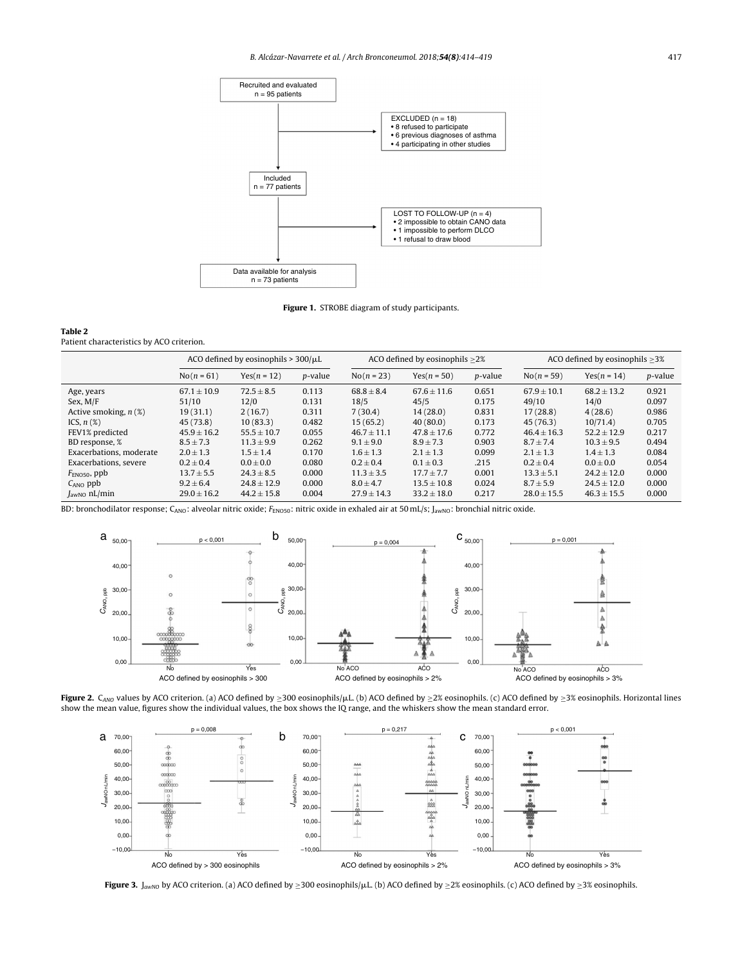<span id="page-3-0"></span>

Figure 1. STROBE diagram of study participants.

#### Table 2

Patient characteristics by ACO criterion.

|                          | ACO defined by eosinophils $> 300/\mu L$ |                 |                 | ACO defined by eosinophils $\geq$ 2% |                 |                 | ACO defined by eosinophils $>3\%$ |                 |                 |
|--------------------------|------------------------------------------|-----------------|-----------------|--------------------------------------|-----------------|-----------------|-----------------------------------|-----------------|-----------------|
|                          | $No(n = 61)$                             | $Yes(n = 12)$   | <i>p</i> -value | $No(n = 23)$                         | Yes $(n = 50)$  | <i>p</i> -value | $No(n = 59)$                      | $Yes(n = 14)$   | <i>p</i> -value |
| Age, years               | $67.1 \pm 10.9$                          | $72.5 + 8.5$    | 0.113           | $68.8 \pm 8.4$                       | $67.6 \pm 11.6$ | 0.651           | $67.9 \pm 10.1$                   | $68.2 \pm 13.2$ | 0.921           |
| Sex, M/F                 | 51/10                                    | 12/0            | 0.131           | 18/5                                 | 45/5            | 0.175           | 49/10                             | 14/0            | 0.097           |
| Active smoking, $n$ (%)  | 19(31.1)                                 | 2(16.7)         | 0.311           | 7(30.4)                              | 14(28.0)        | 0.831           | 17(28.8)                          | 4(28.6)         | 0.986           |
| ICS, $n(\%)$             | 45 (73.8)                                | 10(83.3)        | 0.482           | 15(65.2)                             | 40(80.0)        | 0.173           | 45(76.3)                          | 10/71.4         | 0.705           |
| FEV1% predicted          | $45.9 \pm 16.2$                          | $55.5 \pm 10.7$ | 0.055           | $46.7 + 11.1$                        | $47.8 \pm 17.6$ | 0.772           | $46.4 \pm 16.3$                   | $52.2 \pm 12.9$ | 0.217           |
| BD response, %           | $8.5 \pm 7.3$                            | $11.3 \pm 9.9$  | 0.262           | $9.1 \pm 9.0$                        | $8.9 \pm 7.3$   | 0.903           | $8.7 \pm 7.4$                     | $10.3 \pm 9.5$  | 0.494           |
| Exacerbations, moderate  | $2.0 \pm 1.3$                            | $1.5 \pm 1.4$   | 0.170           | $1.6 \pm 1.3$                        | $2.1 \pm 1.3$   | 0.099           | $2.1 \pm 1.3$                     | $1.4 \pm 1.3$   | 0.084           |
| Exacerbations, severe    | $0.2 \pm 0.4$                            | $0.0 \pm 0.0$   | 0.080           | $0.2 \pm 0.4$                        | $0.1 \pm 0.3$   | .215            | $0.2 \pm 0.4$                     | $0.0 \pm 0.0$   | 0.054           |
| $F_{ENO50}$ , ppb        | $13.7 \pm 5.5$                           | $24.3 \pm 8.5$  | 0.000           | $11.3 \pm 3.5$                       | $17.7 + 7.7$    | 0.001           | $13.3 \pm 5.1$                    | $24.2 \pm 12.0$ | 0.000           |
| $C_{\text{ANO}}$ ppb     | $9.2 \pm 6.4$                            | $24.8 + 12.9$   | 0.000           | $8.0 + 4.7$                          | $13.5 + 10.8$   | 0.024           | $8.7 \pm 5.9$                     | $24.5 \pm 12.0$ | 0.000           |
| $J_{\text{awNO}}$ nL/min | $29.0 \pm 16.2$                          | $44.2 \pm 15.8$ | 0.004           | $27.9 \pm 14.3$                      | $33.2 \pm 18.0$ | 0.217           | $28.0 \pm 15.5$                   | $46.3 \pm 15.5$ | 0.000           |

BD: bronchodilator response; C<sub>ANO</sub>: alveolar nitric oxide; F<sub>ENO50</sub>: nitric oxide in exhaled air at 50 mL/s; J<sub>awNO</sub>: bronchial nitric oxide.



Figure 2. C<sub>ANO</sub> values by ACO criterion. (a) ACO defined by ≥300 eosinophils/µL. (b) ACO defined by ≥2% eosinophils. (c) ACO defined by ≥3% eosinophils. Horizontal lines show the mean value, figures show the individual values, the box shows the IQ range, and the whiskers show the mean standard error.



**Figure 3.** J<sub>awNO</sub> by ACO criterion. (a) ACO defined by  $\geq 300$  eosinophils/ $\mu$ L. (b) ACO defined by  $\geq 2\%$  eosinophils. (c) ACO defined by  $\geq 3\%$  eosinophils.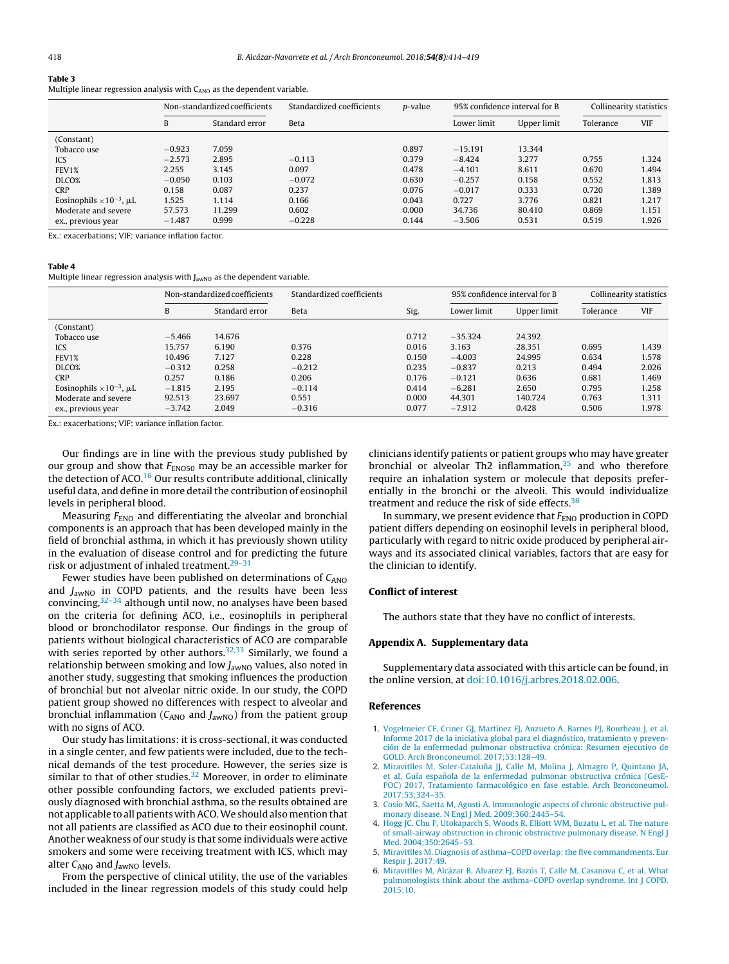## <span id="page-4-0"></span>Table 3

Multiple linear regression analysis with  $C_{ANO}$  as the dependent variable.

|                                        | Non-standardized coefficients |                | Standardized coefficients | <i>p</i> -value | 95% confidence interval for B |             | Collinearity statistics |            |
|----------------------------------------|-------------------------------|----------------|---------------------------|-----------------|-------------------------------|-------------|-------------------------|------------|
|                                        | B                             | Standard error | Beta                      |                 | Lower limit                   | Upper limit | Tolerance               | <b>VIF</b> |
| (Constant)                             |                               |                |                           |                 |                               |             |                         |            |
| Tobacco use                            | $-0.923$                      | 7.059          |                           | 0.897           | $-15.191$                     | 13.344      |                         |            |
| ICS                                    | $-2.573$                      | 2.895          | $-0.113$                  | 0.379           | $-8.424$                      | 3.277       | 0.755                   | 1.324      |
| FEV1%                                  | 2.255                         | 3.145          | 0.097                     | 0.478           | $-4.101$                      | 8.611       | 0.670                   | 1.494      |
| DLCO%                                  | $-0.050$                      | 0.103          | $-0.072$                  | 0.630           | $-0.257$                      | 0.158       | 0.552                   | 1.813      |
| <b>CRP</b>                             | 0.158                         | 0.087          | 0.237                     | 0.076           | $-0.017$                      | 0.333       | 0.720                   | 1.389      |
| Eosinophils $\times 10^{-3}$ , $\mu$ L | 1.525                         | 1.114          | 0.166                     | 0.043           | 0.727                         | 3.776       | 0.821                   | 1.217      |
| Moderate and severe                    | 57.573                        | 11.299         | 0.602                     | 0.000           | 34.736                        | 80.410      | 0.869                   | 1.151      |
| ex., previous year                     | $-1.487$                      | 0.999          | $-0.228$                  | 0.144           | $-3.506$                      | 0.531       | 0.519                   | 1.926      |

Ex.: exacerbations; VIF: variance inflation factor.

#### Table 4

Multiple linear regression analysis with J<sub>awNO</sub> as the dependent variable.

|                                        | Non-standardized coefficients |                | Standardized coefficients |       | 95% confidence interval for B |             | Collinearity statistics |            |
|----------------------------------------|-------------------------------|----------------|---------------------------|-------|-------------------------------|-------------|-------------------------|------------|
|                                        | B                             | Standard error | Beta                      | Sig.  | Lower limit                   | Upper limit | Tolerance               | <b>VIF</b> |
| (Constant)                             |                               |                |                           |       |                               |             |                         |            |
| Tobacco use                            | $-5.466$                      | 14.676         |                           | 0.712 | $-35.324$                     | 24.392      |                         |            |
| ICS                                    | 15.757                        | 6.190          | 0.376                     | 0.016 | 3.163                         | 28.351      | 0.695                   | 1.439      |
| FEV1%                                  | 10.496                        | 7.127          | 0.228                     | 0.150 | $-4.003$                      | 24.995      | 0.634                   | 1.578      |
| DLCO%                                  | $-0.312$                      | 0.258          | $-0.212$                  | 0.235 | $-0.837$                      | 0.213       | 0.494                   | 2.026      |
| <b>CRP</b>                             | 0.257                         | 0.186          | 0.206                     | 0.176 | $-0.121$                      | 0.636       | 0.681                   | 1.469      |
| Eosinophils $\times 10^{-3}$ , $\mu L$ | $-1.815$                      | 2.195          | $-0.114$                  | 0.414 | $-6.281$                      | 2.650       | 0.795                   | 1.258      |
| Moderate and severe                    | 92.513                        | 23.697         | 0.551                     | 0.000 | 44.301                        | 140.724     | 0.763                   | 1.311      |
| ex., previous year                     | $-3.742$                      | 2.049          | $-0.316$                  | 0.077 | $-7.912$                      | 0.428       | 0.506                   | 1.978      |

Ex.: exacerbations; VIF: variance inflation factor.

Our findings are in line with the previous study published by our group and show that  $F_{ENOS0}$  may be an accessible marker for the detection of ACO.<sup>[16](#page-5-0)</sup> Our results contribute additional, clinically useful data, and define in more detail the contribution of eosinophil levels in peripheral blood.

Measuring  $F_{END}$  and differentiating the alveolar and bronchial components is an approach that has been developed mainly in the field of bronchial asthma, in which it has previously shown utility in the evaluation of disease control and for predicting the future risk or adjustment of inhaled treatment.<sup>29-31</sup>

Fewer studies have been published on determinations of  $C_{ANO}$ and  $J_{\text{awNO}}$  in COPD patients, and the results have been less convincing,  $32-34$  although until now, no analyses have been based on the criteria for defining ACO, i.e., eosinophils in peripheral blood or bronchodilator response. Our findings in the group of patients without biological characteristics of ACO are comparable with series reported by other authors.<sup>[32,33](#page-5-0)</sup> Similarly, we found a relationship between smoking and low  $J_{\text{awNO}}$  values, also noted in another study, suggesting that smoking influences the production of bronchial but not alveolar nitric oxide. In our study, the COPD patient group showed no differences with respect to alveolar and bronchial inflammation ( $C_{\text{ANO}}$  and  $J_{\text{awNO}}$ ) from the patient group with no signs of ACO.

Our study has limitations: it is cross-sectional, it was conducted in a single center, and few patients were included, due to the technical demands of the test procedure. However, the series size is similar to that of other studies. $32$  Moreover, in order to eliminate other possible confounding factors, we excluded patients previously diagnosed with bronchial asthma, so the results obtained are not applicable to all patients with ACO. We should also mention that not all patients are classified as ACO due to their eosinophil count. Another weakness of our study is that some individuals were active smokers and some were receiving treatment with ICS, which may alter  $C_{\text{ANO}}$  and  $J_{\text{awNO}}$  levels.

From the perspective of clinical utility, the use of the variables included in the linear regression models of this study could help clinicians identify patients or patient groups who may have greater bronchial or alveolar Th2 inflammation, $35$  and who therefore require an inhalation system or molecule that deposits preferentially in the bronchi or the alveoli. This would individualize treatment and reduce the risk of side effects.<sup>[36](#page-5-0)</sup>

In summary, we present evidence that  $F_{\text{ENO}}$  production in COPD patient differs depending on eosinophil levels in peripheral blood, particularly with regard to nitric oxide produced by peripheral airways and its associated clinical variables, factors that are easy for the clinician to identify.

#### Conflict of interest

The authors state that they have no conflict of interests.

### Appendix A. Supplementary data

Supplementary data associated with this article can be found, in the online version, at [doi:10.1016/j.arbres.2018.02.006.](http://dx.doi.org/10.1016/j.arbres.2018.02.006)

#### References

- 1. [Vogelmeier](http://refhub.elsevier.com/S1579-2129(18)30186-1/sbref0185) [CF,](http://refhub.elsevier.com/S1579-2129(18)30186-1/sbref0185) [Criner](http://refhub.elsevier.com/S1579-2129(18)30186-1/sbref0185) [GJ,](http://refhub.elsevier.com/S1579-2129(18)30186-1/sbref0185) [Martínez](http://refhub.elsevier.com/S1579-2129(18)30186-1/sbref0185) [FJ,](http://refhub.elsevier.com/S1579-2129(18)30186-1/sbref0185) [Anzueto](http://refhub.elsevier.com/S1579-2129(18)30186-1/sbref0185) [A,](http://refhub.elsevier.com/S1579-2129(18)30186-1/sbref0185) [Barnes](http://refhub.elsevier.com/S1579-2129(18)30186-1/sbref0185) [PJ,](http://refhub.elsevier.com/S1579-2129(18)30186-1/sbref0185) [Bourbeau](http://refhub.elsevier.com/S1579-2129(18)30186-1/sbref0185) [J,](http://refhub.elsevier.com/S1579-2129(18)30186-1/sbref0185) [et](http://refhub.elsevier.com/S1579-2129(18)30186-1/sbref0185) [al.](http://refhub.elsevier.com/S1579-2129(18)30186-1/sbref0185) [Informe](http://refhub.elsevier.com/S1579-2129(18)30186-1/sbref0185) [2017](http://refhub.elsevier.com/S1579-2129(18)30186-1/sbref0185) [de](http://refhub.elsevier.com/S1579-2129(18)30186-1/sbref0185) [la](http://refhub.elsevier.com/S1579-2129(18)30186-1/sbref0185) [iniciativa](http://refhub.elsevier.com/S1579-2129(18)30186-1/sbref0185) [global](http://refhub.elsevier.com/S1579-2129(18)30186-1/sbref0185) [para](http://refhub.elsevier.com/S1579-2129(18)30186-1/sbref0185) [el](http://refhub.elsevier.com/S1579-2129(18)30186-1/sbref0185) [diagnóstico,](http://refhub.elsevier.com/S1579-2129(18)30186-1/sbref0185) [tratamiento](http://refhub.elsevier.com/S1579-2129(18)30186-1/sbref0185) [y](http://refhub.elsevier.com/S1579-2129(18)30186-1/sbref0185) [preven](http://refhub.elsevier.com/S1579-2129(18)30186-1/sbref0185)[ción](http://refhub.elsevier.com/S1579-2129(18)30186-1/sbref0185) [de](http://refhub.elsevier.com/S1579-2129(18)30186-1/sbref0185) [la](http://refhub.elsevier.com/S1579-2129(18)30186-1/sbref0185) [enfermedad](http://refhub.elsevier.com/S1579-2129(18)30186-1/sbref0185) [pulmonar](http://refhub.elsevier.com/S1579-2129(18)30186-1/sbref0185) [obstructiva](http://refhub.elsevier.com/S1579-2129(18)30186-1/sbref0185) [crónica:](http://refhub.elsevier.com/S1579-2129(18)30186-1/sbref0185) [Resumen](http://refhub.elsevier.com/S1579-2129(18)30186-1/sbref0185) [ejecutivo](http://refhub.elsevier.com/S1579-2129(18)30186-1/sbref0185) [de](http://refhub.elsevier.com/S1579-2129(18)30186-1/sbref0185) [GOLD.](http://refhub.elsevier.com/S1579-2129(18)30186-1/sbref0185) [Arch](http://refhub.elsevier.com/S1579-2129(18)30186-1/sbref0185) [Bronconeumol.](http://refhub.elsevier.com/S1579-2129(18)30186-1/sbref0185) [2017;53:128–49.](http://refhub.elsevier.com/S1579-2129(18)30186-1/sbref0185)
- 2. [Miravitlles](http://refhub.elsevier.com/S1579-2129(18)30186-1/sbref0190) [M,](http://refhub.elsevier.com/S1579-2129(18)30186-1/sbref0190) Soler-Cataluña [JJ,](http://refhub.elsevier.com/S1579-2129(18)30186-1/sbref0190) [Calle](http://refhub.elsevier.com/S1579-2129(18)30186-1/sbref0190) M, [Molina](http://refhub.elsevier.com/S1579-2129(18)30186-1/sbref0190) [J,](http://refhub.elsevier.com/S1579-2129(18)30186-1/sbref0190) [Almagro](http://refhub.elsevier.com/S1579-2129(18)30186-1/sbref0190) [P,](http://refhub.elsevier.com/S1579-2129(18)30186-1/sbref0190) [Quintano](http://refhub.elsevier.com/S1579-2129(18)30186-1/sbref0190) [JA,](http://refhub.elsevier.com/S1579-2129(18)30186-1/sbref0190) [et](http://refhub.elsevier.com/S1579-2129(18)30186-1/sbref0190) [al.](http://refhub.elsevier.com/S1579-2129(18)30186-1/sbref0190) [Guía](http://refhub.elsevier.com/S1579-2129(18)30186-1/sbref0190) española [de](http://refhub.elsevier.com/S1579-2129(18)30186-1/sbref0190) [la](http://refhub.elsevier.com/S1579-2129(18)30186-1/sbref0190) [enfermedad](http://refhub.elsevier.com/S1579-2129(18)30186-1/sbref0190) [pulmonar](http://refhub.elsevier.com/S1579-2129(18)30186-1/sbref0190) [obstructiva](http://refhub.elsevier.com/S1579-2129(18)30186-1/sbref0190) [crónica](http://refhub.elsevier.com/S1579-2129(18)30186-1/sbref0190) [\(GesE-](http://refhub.elsevier.com/S1579-2129(18)30186-1/sbref0190)[POC\)](http://refhub.elsevier.com/S1579-2129(18)30186-1/sbref0190) [2017,](http://refhub.elsevier.com/S1579-2129(18)30186-1/sbref0190) [Tratamiento](http://refhub.elsevier.com/S1579-2129(18)30186-1/sbref0190) [farmacológico](http://refhub.elsevier.com/S1579-2129(18)30186-1/sbref0190) [en](http://refhub.elsevier.com/S1579-2129(18)30186-1/sbref0190) [fase](http://refhub.elsevier.com/S1579-2129(18)30186-1/sbref0190) [estable.](http://refhub.elsevier.com/S1579-2129(18)30186-1/sbref0190) [Arch](http://refhub.elsevier.com/S1579-2129(18)30186-1/sbref0190) [Bronconeumol.](http://refhub.elsevier.com/S1579-2129(18)30186-1/sbref0190) [2017;53:324](http://refhub.elsevier.com/S1579-2129(18)30186-1/sbref0190)–[35.](http://refhub.elsevier.com/S1579-2129(18)30186-1/sbref0190)
- 3. [Cosio](http://refhub.elsevier.com/S1579-2129(18)30186-1/sbref0195) [MG,](http://refhub.elsevier.com/S1579-2129(18)30186-1/sbref0195) [Saetta](http://refhub.elsevier.com/S1579-2129(18)30186-1/sbref0195) [M,](http://refhub.elsevier.com/S1579-2129(18)30186-1/sbref0195) [Agusti](http://refhub.elsevier.com/S1579-2129(18)30186-1/sbref0195) [A.](http://refhub.elsevier.com/S1579-2129(18)30186-1/sbref0195) [Immunologic](http://refhub.elsevier.com/S1579-2129(18)30186-1/sbref0195) [aspects](http://refhub.elsevier.com/S1579-2129(18)30186-1/sbref0195) [of](http://refhub.elsevier.com/S1579-2129(18)30186-1/sbref0195) [chronic](http://refhub.elsevier.com/S1579-2129(18)30186-1/sbref0195) [obstructive](http://refhub.elsevier.com/S1579-2129(18)30186-1/sbref0195) [pul-](http://refhub.elsevier.com/S1579-2129(18)30186-1/sbref0195)[monary](http://refhub.elsevier.com/S1579-2129(18)30186-1/sbref0195) [disease.](http://refhub.elsevier.com/S1579-2129(18)30186-1/sbref0195) [N](http://refhub.elsevier.com/S1579-2129(18)30186-1/sbref0195) [Engl](http://refhub.elsevier.com/S1579-2129(18)30186-1/sbref0195) [J](http://refhub.elsevier.com/S1579-2129(18)30186-1/sbref0195) [Med.](http://refhub.elsevier.com/S1579-2129(18)30186-1/sbref0195) [2009;360:2445–54.](http://refhub.elsevier.com/S1579-2129(18)30186-1/sbref0195)
- 4. [Hogg](http://refhub.elsevier.com/S1579-2129(18)30186-1/sbref0200) [JC,](http://refhub.elsevier.com/S1579-2129(18)30186-1/sbref0200) [Chu](http://refhub.elsevier.com/S1579-2129(18)30186-1/sbref0200) [F,](http://refhub.elsevier.com/S1579-2129(18)30186-1/sbref0200) [Utokaparch](http://refhub.elsevier.com/S1579-2129(18)30186-1/sbref0200) [S,](http://refhub.elsevier.com/S1579-2129(18)30186-1/sbref0200) [Woods](http://refhub.elsevier.com/S1579-2129(18)30186-1/sbref0200) [R,](http://refhub.elsevier.com/S1579-2129(18)30186-1/sbref0200) [Elliott](http://refhub.elsevier.com/S1579-2129(18)30186-1/sbref0200) [WM,](http://refhub.elsevier.com/S1579-2129(18)30186-1/sbref0200) [Buzatu](http://refhub.elsevier.com/S1579-2129(18)30186-1/sbref0200) [L,](http://refhub.elsevier.com/S1579-2129(18)30186-1/sbref0200) [et](http://refhub.elsevier.com/S1579-2129(18)30186-1/sbref0200) [al.](http://refhub.elsevier.com/S1579-2129(18)30186-1/sbref0200) [The](http://refhub.elsevier.com/S1579-2129(18)30186-1/sbref0200) [nature](http://refhub.elsevier.com/S1579-2129(18)30186-1/sbref0200) [of](http://refhub.elsevier.com/S1579-2129(18)30186-1/sbref0200) [small-airway](http://refhub.elsevier.com/S1579-2129(18)30186-1/sbref0200) [obstruction](http://refhub.elsevier.com/S1579-2129(18)30186-1/sbref0200) [in](http://refhub.elsevier.com/S1579-2129(18)30186-1/sbref0200) [chronic](http://refhub.elsevier.com/S1579-2129(18)30186-1/sbref0200) [obstructive](http://refhub.elsevier.com/S1579-2129(18)30186-1/sbref0200) [pulmonary](http://refhub.elsevier.com/S1579-2129(18)30186-1/sbref0200) [disease.](http://refhub.elsevier.com/S1579-2129(18)30186-1/sbref0200) [N](http://refhub.elsevier.com/S1579-2129(18)30186-1/sbref0200) [Engl](http://refhub.elsevier.com/S1579-2129(18)30186-1/sbref0200) [J](http://refhub.elsevier.com/S1579-2129(18)30186-1/sbref0200) [Med.](http://refhub.elsevier.com/S1579-2129(18)30186-1/sbref0200) [2004;350:2645](http://refhub.elsevier.com/S1579-2129(18)30186-1/sbref0200)–[53.](http://refhub.elsevier.com/S1579-2129(18)30186-1/sbref0200)
- 5. [Miravitlles](http://refhub.elsevier.com/S1579-2129(18)30186-1/sbref0205) [M.](http://refhub.elsevier.com/S1579-2129(18)30186-1/sbref0205) [Diagnosis](http://refhub.elsevier.com/S1579-2129(18)30186-1/sbref0205) [of](http://refhub.elsevier.com/S1579-2129(18)30186-1/sbref0205) [asthma](http://refhub.elsevier.com/S1579-2129(18)30186-1/sbref0205)–[COPD](http://refhub.elsevier.com/S1579-2129(18)30186-1/sbref0205) [overlap:](http://refhub.elsevier.com/S1579-2129(18)30186-1/sbref0205) [the](http://refhub.elsevier.com/S1579-2129(18)30186-1/sbref0205) [five](http://refhub.elsevier.com/S1579-2129(18)30186-1/sbref0205) [commandments.](http://refhub.elsevier.com/S1579-2129(18)30186-1/sbref0205) [Eur](http://refhub.elsevier.com/S1579-2129(18)30186-1/sbref0205) [Respir](http://refhub.elsevier.com/S1579-2129(18)30186-1/sbref0205) [J.](http://refhub.elsevier.com/S1579-2129(18)30186-1/sbref0205) [2017:49.](http://refhub.elsevier.com/S1579-2129(18)30186-1/sbref0205)
- 6. [Miravitlles](http://refhub.elsevier.com/S1579-2129(18)30186-1/sbref0210) [M,](http://refhub.elsevier.com/S1579-2129(18)30186-1/sbref0210) [Alcázar](http://refhub.elsevier.com/S1579-2129(18)30186-1/sbref0210) [B,](http://refhub.elsevier.com/S1579-2129(18)30186-1/sbref0210) [Alvarez](http://refhub.elsevier.com/S1579-2129(18)30186-1/sbref0210) [FJ,](http://refhub.elsevier.com/S1579-2129(18)30186-1/sbref0210) [Bazús](http://refhub.elsevier.com/S1579-2129(18)30186-1/sbref0210) [T,](http://refhub.elsevier.com/S1579-2129(18)30186-1/sbref0210) [Calle](http://refhub.elsevier.com/S1579-2129(18)30186-1/sbref0210) [M,](http://refhub.elsevier.com/S1579-2129(18)30186-1/sbref0210) [Casanova](http://refhub.elsevier.com/S1579-2129(18)30186-1/sbref0210) [C,](http://refhub.elsevier.com/S1579-2129(18)30186-1/sbref0210) [et](http://refhub.elsevier.com/S1579-2129(18)30186-1/sbref0210) [al.](http://refhub.elsevier.com/S1579-2129(18)30186-1/sbref0210) [What](http://refhub.elsevier.com/S1579-2129(18)30186-1/sbref0210) [pulmonologists](http://refhub.elsevier.com/S1579-2129(18)30186-1/sbref0210) [think](http://refhub.elsevier.com/S1579-2129(18)30186-1/sbref0210) [about](http://refhub.elsevier.com/S1579-2129(18)30186-1/sbref0210) [the](http://refhub.elsevier.com/S1579-2129(18)30186-1/sbref0210) [asthma–COPD](http://refhub.elsevier.com/S1579-2129(18)30186-1/sbref0210) [overlap](http://refhub.elsevier.com/S1579-2129(18)30186-1/sbref0210) [syndrome.](http://refhub.elsevier.com/S1579-2129(18)30186-1/sbref0210) [Int](http://refhub.elsevier.com/S1579-2129(18)30186-1/sbref0210) [J](http://refhub.elsevier.com/S1579-2129(18)30186-1/sbref0210) [COPD.](http://refhub.elsevier.com/S1579-2129(18)30186-1/sbref0210) [2015:10.](http://refhub.elsevier.com/S1579-2129(18)30186-1/sbref0210)